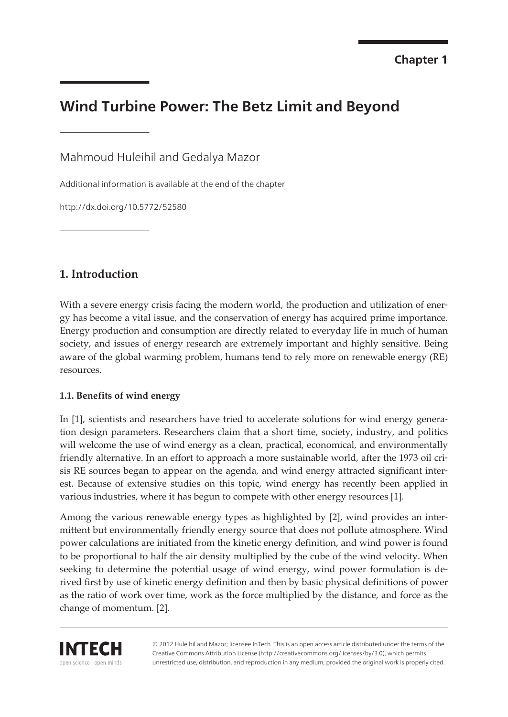# **Wind Turbine Power: The Betz Limit and Beyond**

Mahmoud Huleihil and Gedalya Mazor

Additional information is available at the end of the chapter

http://dx.doi.org/10.5772/52580

# **1. Introduction**

With a severe energy crisis facing the modern world, the production and utilization of energy has become a vital issue, and the conservation of energy has acquired prime importance. Energy production and consumption are directly related to everyday life in much of human society, and issues of energy research are extremely important and highly sensitive. Being aware of the global warming problem, humans tend to rely more on renewable energy (RE) resources.

## **1.1. Benefits of wind energy**

In [\[1\]](#page-23-0), scientists and researchers have tried to accelerate solutions for wind energy generation design parameters. Researchers claim that a short time, society, industry, and politics will welcome the use of wind energy as a clean, practical, economical, and environmentally friendly alternative. In an effort to approach a more sustainable world, after the 1973 oil crisis RE sources began to appear on the agenda, and wind energy attracted significant inter‐ est. Because of extensive studies on this topic, wind energy has recently been applied in various industries, where it has begun to compete with other energy resources [[1](#page-23-0)].

Among the various renewable energy types as highlighted by [\[2\]](#page-23-0), wind provides an inter‐ mittent but environmentally friendly energy source that does not pollute atmosphere. Wind power calculations are initiated from the kinetic energy definition, and wind power is found to be proportional to half the air density multiplied by the cube of the wind velocity. When seeking to determine the potential usage of wind energy, wind power formulation is derived first by use of kinetic energy definition and then by basic physical definitions of power as the ratio of work over time, work as the force multiplied by the distance, and force as the change of momentum. [[2](#page-23-0)].



© 2012 Huleihil and Mazor; licensee InTech. This is an open access article distributed under the terms of the Creative Commons Attribution License (http://creativecommons.org/licenses/by/3.0), which permits unrestricted use, distribution, and reproduction in any medium, provided the original work is properly cited.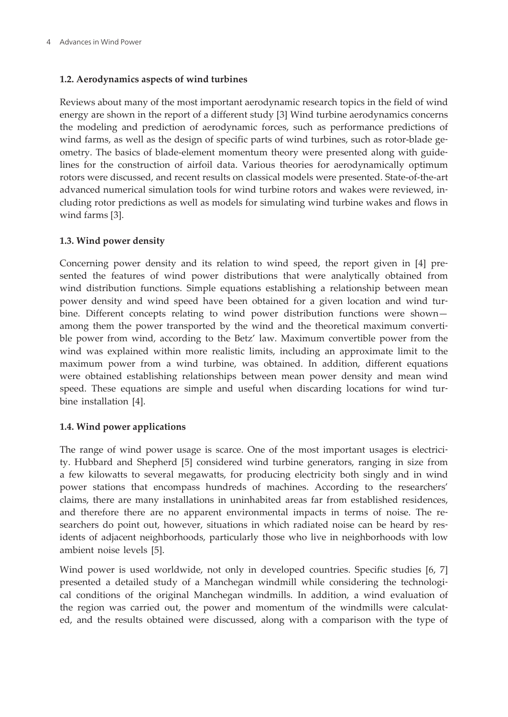#### **1.2. Aerodynamics aspects of wind turbines**

Reviews about many of the most important aerodynamic research topics in the field of wind energy are shown in the report of a different study [\[3\]](#page-23-0) Wind turbine aerodynamics concerns the modeling and prediction of aerodynamic forces, such as performance predictions of wind farms, as well as the design of specific parts of wind turbines, such as rotor-blade geometry. The basics of blade-element momentum theory were presented along with guide‐ lines for the construction of airfoil data. Various theories for aerodynamically optimum rotors were discussed, and recent results on classical models were presented. State-of-the-art advanced numerical simulation tools for wind turbine rotors and wakes were reviewed, in‐ cluding rotor predictions as well as models for simulating wind turbine wakes and flows in wind farms [[3](#page-23-0)].

#### **1.3. Wind power density**

Concerning power density and its relation to wind speed, the report given in[[4](#page-23-0)] pre‐ sented the features of wind power distributions that were analytically obtained from wind distribution functions. Simple equations establishing a relationship between mean power density and wind speed have been obtained for a given location and wind tur‐ bine. Different concepts relating to wind power distribution functions were shown among them the power transported by the wind and the theoretical maximum convertible power from wind, according to the Betz' law. Maximum convertible power from the wind was explained within more realistic limits, including an approximate limit to the maximum power from a wind turbine, was obtained. In addition, different equations were obtained establishing relationships between mean power density and mean wind speed. These equations are simple and useful when discarding locations for wind turbine installation [\[4\]](#page-23-0).

## **1.4. Wind power applications**

The range of wind power usage is scarce. One of the most important usages is electricity. Hubbard and Shepherd [\[5\]](#page-23-0) considered wind turbine generators, ranging in size from a few kilowatts to several megawatts, for producing electricity both singly and in wind power stations that encompass hundreds of machines. According to the researchers' claims, there are many installations in uninhabited areas far from established residences, and therefore there are no apparent environmental impacts in terms of noise. The researchers do point out, however, situations in which radiated noise can be heard by residents of adjacent neighborhoods, particularly those who live in neighborhoods with low ambient noise levels [\[5\]](#page-23-0).

Wind power is used worldwide, not only in developed countries. Specific studies [[6](#page-23-0), [7](#page-23-0)] presented a detailed study of a Manchegan windmill while considering the technological conditions of the original Manchegan windmills. In addition, a wind evaluation of the region was carried out, the power and momentum of the windmills were calculated, and the results obtained were discussed, along with a comparison with the type of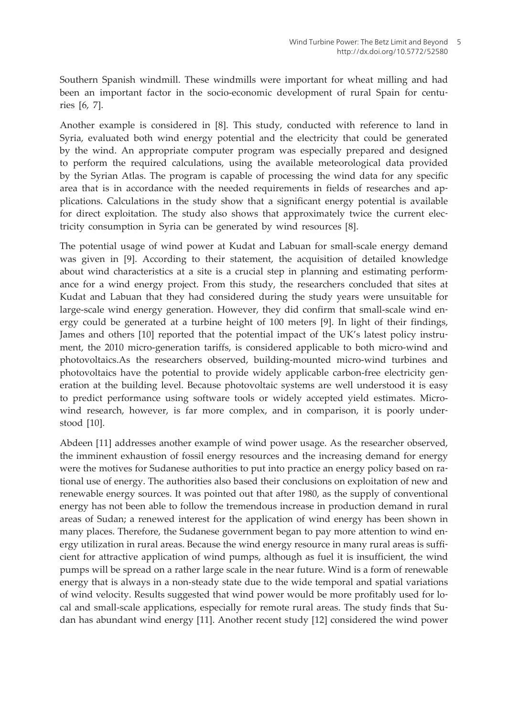Southern Spanish windmill. These windmills were important for wheat milling and had been an important factor in the socio-economic development of rural Spain for centuries [[6](#page-23-0), [7\]](#page-23-0).

Another example is considered in [\[8\]](#page-23-0). This study, conducted with reference to land in Syria, evaluated both wind energy potential and the electricity that could be generated by the wind. An appropriate computer program was especially prepared and designed to perform the required calculations, using the available meteorological data provided by the Syrian Atlas. The program is capable of processing the wind data for any specific area that is in accordance with the needed requirements in fields of researches and applications. Calculations in the study show that a significant energy potential is available for direct exploitation. The study also shows that approximately twice the current electricity consumption in Syria can be generated by wind resources [[8](#page-23-0)].

The potential usage of wind power at Kudat and Labuan for small-scale energy demand was given in[[9](#page-23-0)]. According to their statement, the acquisition of detailed knowledge about wind characteristics at a site is a crucial step in planning and estimating perform‐ ance for a wind energy project. From this study, the researchers concluded that sites at Kudat and Labuan that they had considered during the study years were unsuitable for large-scale wind energy generation. However, they did confirm that small-scale wind energy could be generated at a turbine height of 100 meters [\[9\]](#page-23-0). In light of their findings, James and others [\[10](#page-23-0)] reported that the potential impact of the UK's latest policy instru‐ ment, the 2010 micro-generation tariffs, is considered applicable to both micro-wind and photovoltaics.As the researchers observed, building-mounted micro-wind turbines and photovoltaics have the potential to provide widely applicable carbon-free electricity generation at the building level. Because photovoltaic systems are well understood it is easy to predict performance using software tools or widely accepted yield estimates. Microwind research, however, is far more complex, and in comparison, it is poorly understood [\[10](#page-23-0)].

Abdeen [[11](#page-23-0)] addresses another example of wind power usage. As the researcher observed, the imminent exhaustion of fossil energy resources and the increasing demand for energy were the motives for Sudanese authorities to put into practice an energy policy based on rational use of energy. The authorities also based their conclusions on exploitation of new and renewable energy sources. It was pointed out that after 1980, as the supply of conventional energy has not been able to follow the tremendous increase in production demand in rural areas of Sudan; a renewed interest for the application of wind energy has been shown in many places. Therefore, the Sudanese government began to pay more attention to wind energy utilization in rural areas. Because the wind energy resource in many rural areas is sufficient for attractive application of wind pumps, although as fuel it is insufficient, the wind pumps will be spread on a rather large scale in the near future. Wind is a form of renewable energy that is always in a non-steady state due to the wide temporal and spatial variations of wind velocity. Results suggested that wind power would be more profitably used for lo‐ cal and small-scale applications, especially for remote rural areas. The study finds that Sudan has abundant wind energy [[11\]](#page-23-0). Another recent study [[12\]](#page-23-0) considered the wind power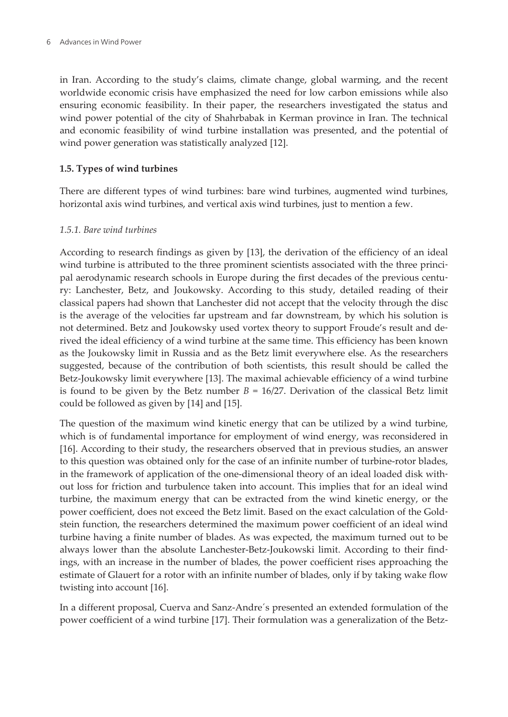in Iran. According to the study's claims, climate change, global warming, and the recent worldwide economic crisis have emphasized the need for low carbon emissions while also ensuring economic feasibility. In their paper, the researchers investigated the status and wind power potential of the city of Shahrbabak in Kerman province in Iran. The technical and economic feasibility of wind turbine installation was presented, and the potential of wind power generation was statistically analyzed [\[12](#page-23-0)].

#### **1.5. Types of wind turbines**

There are different types of wind turbines: bare wind turbines, augmented wind turbines, horizontal axis wind turbines, and vertical axis wind turbines, just to mention a few.

#### *1.5.1. Bare wind turbines*

According to research findings as given by [\[13](#page-23-0)], the derivation of the efficiency of an ideal wind turbine is attributed to the three prominent scientists associated with the three principal aerodynamic research schools in Europe during the first decades of the previous centu‐ ry: Lanchester, Betz, and Joukowsky. According to this study, detailed reading of their classical papers had shown that Lanchester did not accept that the velocity through the disc is the average of the velocities far upstream and far downstream, by which his solution is not determined. Betz and Joukowsky used vortex theory to support Froude's result and de‐ rived the ideal efficiency of a wind turbine at the same time. This efficiency has been known as the Joukowsky limit in Russia and as the Betz limit everywhere else. As the researchers suggested, because of the contribution of both scientists, this result should be called the Betz-Joukowsky limit everywhere [\[13](#page-23-0)]. The maximal achievable efficiency of a wind turbine is found to be given by the Betz number  $B = 16/27$ . Derivation of the classical Betz limit could be followed as given by [[14\]](#page-23-0) and [[15\]](#page-23-0).

The question of the maximum wind kinetic energy that can be utilized by a wind turbine, which is of fundamental importance for employment of wind energy, was reconsidered in [[16\]](#page-24-0). According to their study, the researchers observed that in previous studies, an answer to this question was obtained only for the case of an infinite number of turbine-rotor blades, in the framework of application of the one-dimensional theory of an ideal loaded disk with‐ out loss for friction and turbulence taken into account. This implies that for an ideal wind turbine, the maximum energy that can be extracted from the wind kinetic energy, or the power coefficient, does not exceed the Betz limit. Based on the exact calculation of the Gold‐ stein function, the researchers determined the maximum power coefficient of an ideal wind turbine having a finite number of blades. As was expected, the maximum turned out to be always lower than the absolute Lanchester-Betz-Joukowski limit. According to their find‐ ings, with an increase in the number of blades, the power coefficient rises approaching the estimate of Glauert for a rotor with an infinite number of blades, only if by taking wake flow twisting into account [[16\]](#page-24-0).

In a different proposal, Cuerva and Sanz-Andre´s presented an extended formulation of the power coefficient of a wind turbine [[17\]](#page-24-0). Their formulation was a generalization of the Betz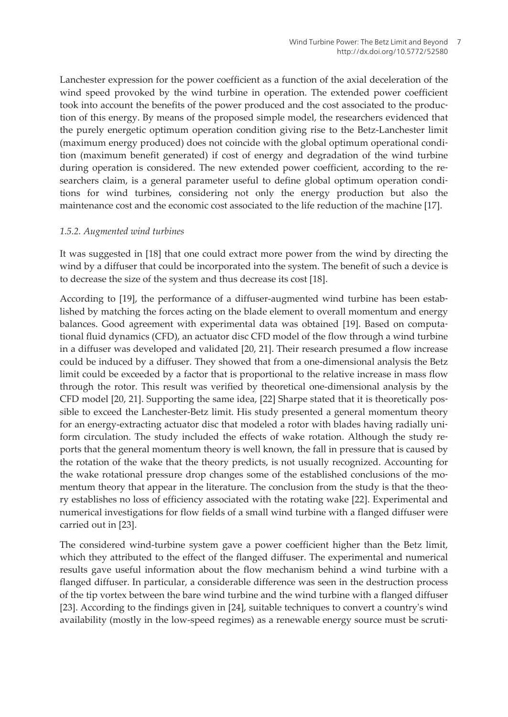Lanchester expression for the power coefficient as a function of the axial deceleration of the wind speed provoked by the wind turbine in operation. The extended power coefficient took into account the benefits of the power produced and the cost associated to the produc‐ tion of this energy. By means of the proposed simple model, the researchers evidenced that the purely energetic optimum operation condition giving rise to the Betz-Lanchester limit (maximum energy produced) does not coincide with the global optimum operational condi‐ tion (maximum benefit generated) if cost of energy and degradation of the wind turbine during operation is considered. The new extended power coefficient, according to the researchers claim, is a general parameter useful to define global optimum operation conditions for wind turbines, considering not only the energy production but also the maintenance cost and the economic cost associated to the life reduction of the machine [[17\]](#page-24-0).

#### *1.5.2. Augmented wind turbines*

It was suggested in [\[18](#page-24-0)] that one could extract more power from the wind by directing the wind by a diffuser that could be incorporated into the system. The benefit of such a device is to decrease the size of the system and thus decrease its cost [[18\]](#page-24-0).

According to [\[19](#page-24-0)], the performance of a diffuser-augmented wind turbine has been estab‐ lished by matching the forces acting on the blade element to overall momentum and energy balances. Good agreement with experimental data was obtained [\[19](#page-24-0)]. Based on computa‐ tional fluid dynamics (CFD), an actuator disc CFD model of the flow through a wind turbine in a diffuser was developed and validated [[20,](#page-24-0) [21\]](#page-24-0). Their research presumed a flow increase could be induced by a diffuser. They showed that from a one-dimensional analysis the Betz limit could be exceeded by a factor that is proportional to the relative increase in mass flow through the rotor. This result was verified by theoretical one-dimensional analysis by the CFD model [\[20](#page-24-0), [21](#page-24-0)]. Supporting the same idea, [[22\]](#page-24-0) Sharpe stated that it is theoretically pos‐ sible to exceed the Lanchester-Betz limit. His study presented a general momentum theory for an energy-extracting actuator disc that modeled a rotor with blades having radially uniform circulation. The study included the effects of wake rotation. Although the study reports that the general momentum theory is well known, the fall in pressure that is caused by the rotation of the wake that the theory predicts, is not usually recognized. Accounting for the wake rotational pressure drop changes some of the established conclusions of the momentum theory that appear in the literature. The conclusion from the study is that the theory establishes no loss of efficiency associated with the rotating wake [[22\]](#page-24-0). Experimental and numerical investigations for flow fields of a small wind turbine with a flanged diffuser were carried out in [[23\]](#page-24-0).

The considered wind-turbine system gave a power coefficient higher than the Betz limit, which they attributed to the effect of the flanged diffuser. The experimental and numerical results gave useful information about the flow mechanism behind a wind turbine with a flanged diffuser. In particular, a considerable difference was seen in the destruction process of the tip vortex between the bare wind turbine and the wind turbine with a flanged diffuser [[23\]](#page-24-0). According to the findings given in [[24\]](#page-24-0), suitable techniques to convert a country's wind availability (mostly in the low-speed regimes) as a renewable energy source must be scruti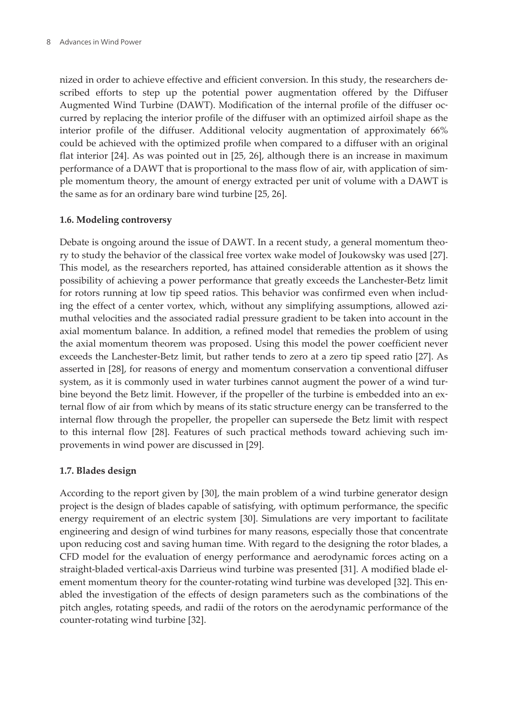nized in order to achieve effective and efficient conversion. In this study, the researchers de‐ scribed efforts to step up the potential power augmentation offered by the Diffuser Augmented Wind Turbine (DAWT). Modification of the internal profile of the diffuser oc‐ curred by replacing the interior profile of the diffuser with an optimized airfoil shape as the interior profile of the diffuser. Additional velocity augmentation of approximately 66% could be achieved with the optimized profile when compared to a diffuser with an original flat interior [\[24](#page-24-0)]. As was pointed out in [\[25](#page-24-0), [26](#page-24-0)], although there is an increase in maximum performance of a DAWT that is proportional to the mass flow of air, with application of simple momentum theory, the amount of energy extracted per unit of volume with a DAWT is the same as for an ordinary bare wind turbine [[25, 26](#page-24-0)].

#### **1.6. Modeling controversy**

Debate is ongoing around the issue of DAWT. In a recent study, a general momentum theory to study the behavior of the classical free vortex wake model of Joukowsky was used [[27\]](#page-24-0). This model, as the researchers reported, has attained considerable attention as it shows the possibility of achieving a power performance that greatly exceeds the Lanchester-Betz limit for rotors running at low tip speed ratios. This behavior was confirmed even when including the effect of a center vortex, which, without any simplifying assumptions, allowed azimuthal velocities and the associated radial pressure gradient to be taken into account in the axial momentum balance. In addition, a refined model that remedies the problem of using the axial momentum theorem was proposed. Using this model the power coefficient never exceeds the Lanchester-Betz limit, but rather tends to zero at a zero tip speed ratio [\[27](#page-24-0)]. As asserted in [[28\]](#page-24-0), for reasons of energy and momentum conservation a conventional diffuser system, as it is commonly used in water turbines cannot augment the power of a wind turbine beyond the Betz limit. However, if the propeller of the turbine is embedded into an external flow of air from which by means of its static structure energy can be transferred to the internal flow through the propeller, the propeller can supersede the Betz limit with respect to this internal flow [[28\]](#page-24-0). Features of such practical methods toward achieving such im‐ provements in wind power are discussed in [\[29](#page-24-0)].

#### **1.7. Blades design**

According to the report given by [\[30](#page-24-0)], the main problem of a wind turbine generator design project is the design of blades capable of satisfying, with optimum performance, the specific energy requirement of an electric system [[30\]](#page-24-0). Simulations are very important to facilitate engineering and design of wind turbines for many reasons, especially those that concentrate upon reducing cost and saving human time. With regard to the designing the rotor blades, a CFD model for the evaluation of energy performance and aerodynamic forces acting on a straight-bladed vertical-axis Darrieus wind turbine was presented [[31\]](#page-25-0). A modified blade el‐ ement momentum theory for the counter-rotating wind turbine was developed [[32\]](#page-25-0). This enabled the investigation of the effects of design parameters such as the combinations of the pitch angles, rotating speeds, and radii of the rotors on the aerodynamic performance of the counter-rotating wind turbine [\[32](#page-25-0)].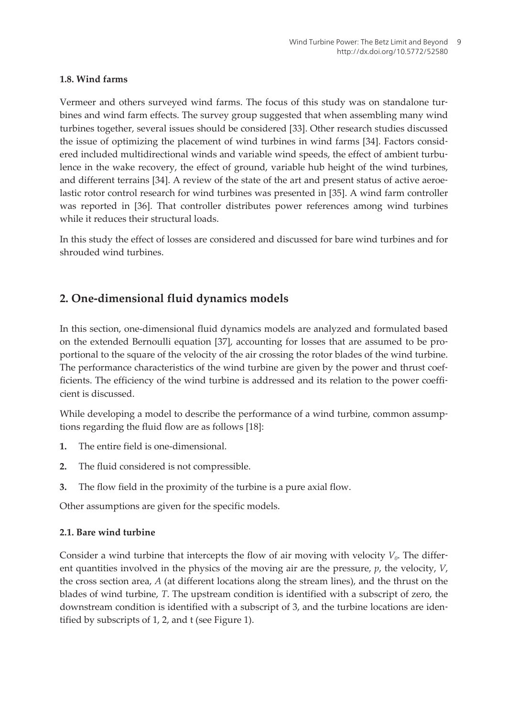#### **1.8. Wind farms**

Vermeer and others surveyed wind farms. The focus of this study was on standalone tur‐ bines and wind farm effects. The survey group suggested that when assembling many wind turbines together, several issues should be considered [[33\]](#page-25-0). Other research studies discussed the issue of optimizing the placement of wind turbines in wind farms [\[34](#page-25-0)]. Factors consid‐ ered included multidirectional winds and variable wind speeds, the effect of ambient turbulence in the wake recovery, the effect of ground, variable hub height of the wind turbines, and different terrains [\[34](#page-25-0)]. A review of the state of the art and present status of active aeroe‐ lastic rotor control research for wind turbines was presented in [\[35](#page-25-0)]. A wind farm controller was reported in [\[36](#page-25-0)]. That controller distributes power references among wind turbines while it reduces their structural loads.

In this study the effect of losses are considered and discussed for bare wind turbines and for shrouded wind turbines.

## **2. One-dimensional fluid dynamics models**

In this section, one-dimensional fluid dynamics models are analyzed and formulated based on the extended Bernoulli equation [[37\]](#page-25-0), accounting for losses that are assumed to be pro‐ portional to the square of the velocity of the air crossing the rotor blades of the wind turbine. The performance characteristics of the wind turbine are given by the power and thrust coefficients. The efficiency of the wind turbine is addressed and its relation to the power coefficient is discussed.

While developing a model to describe the performance of a wind turbine, common assumptions regarding the fluid flow are as follows [\[18](#page-24-0)]:

- **1.** The entire field is one-dimensional.
- **2.** The fluid considered is not compressible.
- **3.** The flow field in the proximity of the turbine is a pure axial flow.

Other assumptions are given for the specific models.

## **2.1. Bare wind turbine**

Consider a wind turbine that intercepts the flow of air moving with velocity *V<sup>0</sup>* . The differ‐ ent quantities involved in the physics of the moving air are the pressure, *p*, the velocity, *V*, the cross section area, *A* (at different locations along the stream lines), and the thrust on the blades of wind turbine, *T*. The upstream condition is identified with a subscript of zero, the downstream condition is identified with a subscript of 3, and the turbine locations are iden‐ tified by subscripts of 1, 2, and t (see [Figure 1\).](#page-7-0)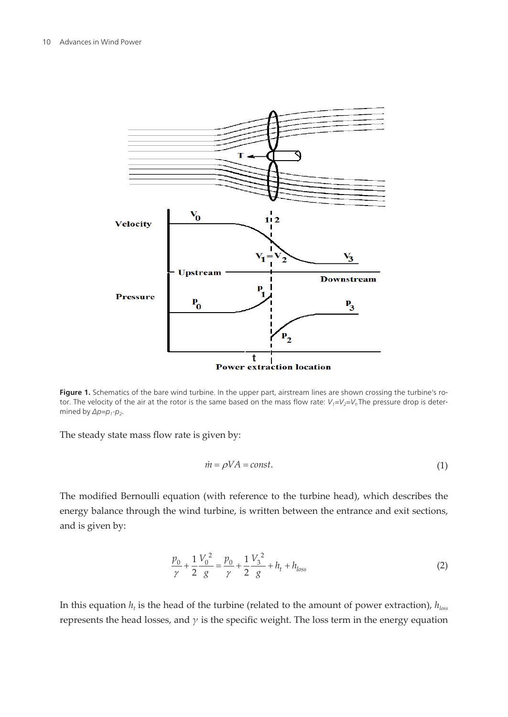<span id="page-7-0"></span>

Figure 1. Schematics of the bare wind turbine. In the upper part, airstream lines are shown crossing the turbine's rotor. The velocity of the air at the rotor is the same based on the mass flow rate:  $V_i=V_2=V_t$ . The pressure drop is determined by  $\Delta p = p_1 - p_2$ .

The steady state mass flow rate is given by:

$$
\dot{m} = \rho V A = const.
$$
\n<sup>(1)</sup>

The modified Bernoulli equation (with reference to the turbine head), which describes the energy balance through the wind turbine, is written between the entrance and exit sections, and is given by:

$$
\frac{p_0}{\gamma} + \frac{1}{2} \frac{V_0^2}{g} = \frac{p_0}{\gamma} + \frac{1}{2} \frac{V_3^2}{g} + h_t + h_{loss}
$$
 (2)

In this equation *h<sup>t</sup>* is the head of the turbine (related to the amount of power extraction), *hloss* represents the head losses, and *γ* is the specific weight. The loss term in the energy equation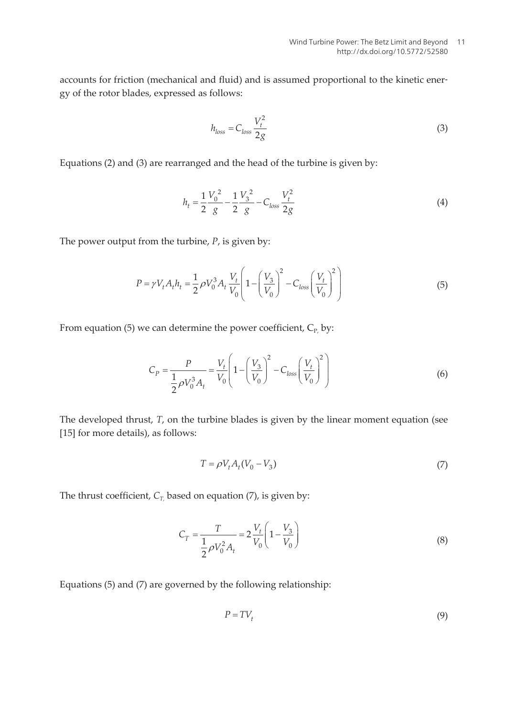accounts for friction (mechanical and fluid) and is assumed proportional to the kinetic energy of the rotor blades, expressed as follows:

$$
h_{loss} = C_{loss} \frac{V_t^2}{2g} \tag{3}
$$

Equations (2) and (3) are rearranged and the head of the turbine is given by:

$$
h_t = \frac{1}{2} \frac{V_0^2}{g} - \frac{1}{2} \frac{V_3^2}{g} - C_{loss} \frac{V_t^2}{2g}
$$
(4)

The power output from the turbine, *P*, is given by:

$$
P = \gamma V_t A_t h_t = \frac{1}{2} \rho V_0^3 A_t \frac{V_t}{V_0} \left( 1 - \left( \frac{V_3}{V_0} \right)^2 - C_{loss} \left( \frac{V_t}{V_0} \right)^2 \right)
$$
(5)

From equation (5) we can determine the power coefficient,  $C_{P_1}$  by:

$$
C_P = \frac{P}{\frac{1}{2}\rho V_0^3 A_t} = \frac{V_t}{V_0} \left( 1 - \left(\frac{V_3}{V_0}\right)^2 - C_{loss} \left(\frac{V_t}{V_0}\right)^2 \right)
$$
(6)

The developed thrust, *T*, on the turbine blades is given by the linear moment equation (see [[15\]](#page-23-0) for more details), as follows:

$$
T = \rho V_t A_t (V_0 - V_3) \tag{7}
$$

The thrust coefficient, *CT,* based on equation (7), is given by:

$$
C_T = \frac{T}{\frac{1}{2}\rho V_0^2 A_t} = 2\frac{V_t}{V_0} \left(1 - \frac{V_3}{V_0}\right)
$$
\n(8)

Equations (5) and (7) are governed by the following relationship:

the following relationship:  
\n
$$
P = TV_t
$$
\n(9)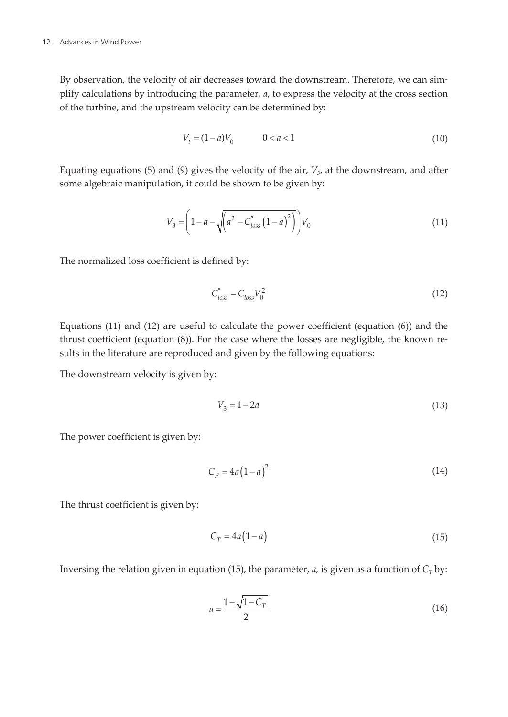By observation, the velocity of air decreases toward the downstream. Therefore, we can simplify calculations by introducing the parameter, *a*, to express the velocity at the cross section of the turbine, and the upstream velocity can be determined by:

$$
V_t = (1 - a)V_0 \qquad \qquad 0 < a < 1 \tag{10}
$$

Equating equations (5) and (9) gives the velocity of the air, *V<sup>3</sup>* , at the downstream, and after some algebraic manipulation, it could be shown to be given by:

$$
V_3 = \left(1 - a - \sqrt{\left(a^2 - C_{loss}^*\left(1 - a\right)^2\right)}\right) V_0 \tag{11}
$$

The normalized loss coefficient is defined by:

$$
C_{loss}^* = C_{loss} V_0^2 \tag{12}
$$

Equations (11) and (12) are useful to calculate the power coefficient (equation (6)) and the thrust coefficient (equation (8)). For the case where the losses are negligible, the known re‐ sults in the literature are reproduced and given by the following equations:

The downstream velocity is given by:

$$
V_3 = 1 - 2a \tag{13}
$$

The power coefficient is given by:

$$
C_p = 4a\left(1 - a\right)^2\tag{14}
$$

The thrust coefficient is given by:

$$
C_T = 4a(1-a) \tag{15}
$$

Inversing the relation given in equation (15), the parameter,  $a$ , is given as a function of  $C_T$  by:

$$
a = \frac{1 - \sqrt{1 - C_T}}{2} \tag{16}
$$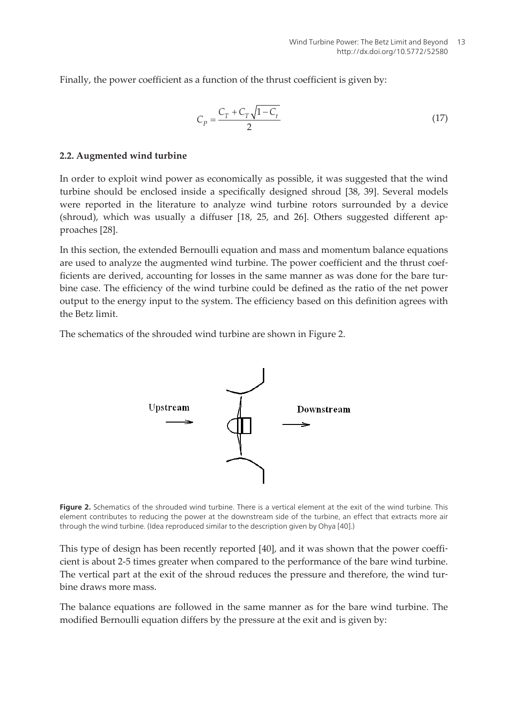Finally, the power coefficient as a function of the thrust coefficient is given by:

$$
C_p = \frac{C_T + C_T \sqrt{1 - C_t}}{2}
$$
\n(17)

#### **2.2. Augmented wind turbine**

In order to exploit wind power as economically as possible, it was suggested that the wind turbine should be enclosed inside a specifically designed shroud [[38,](#page-25-0) [39\]](#page-25-0). Several models were reported in the literature to analyze wind turbine rotors surrounded by a device (shroud), which was usually a diffuser [18, 25, and 26]. Others suggested different ap‐ proaches [[28\]](#page-24-0).

In this section, the extended Bernoulli equation and mass and momentum balance equations are used to analyze the augmented wind turbine. The power coefficient and the thrust coefficients are derived, accounting for losses in the same manner as was done for the bare tur‐ bine case. The efficiency of the wind turbine could be defined as the ratio of the net power output to the energy input to the system. The efficiency based on this definition agrees with the Betz limit.

The schematics of the shrouded wind turbine are shown in Figure 2.



Figure 2. Schematics of the shrouded wind turbine. There is a vertical element at the exit of the wind turbine. This element contributes to reducing the power at the downstream side of the turbine, an effect that extracts more air through the wind turbine. (Idea reproduced similar to the description given by Ohya [[40\]](#page-25-0).)

This type of design has been recently reported [\[40](#page-25-0)], and it was shown that the power coefficient is about 2-5 times greater when compared to the performance of the bare wind turbine. The vertical part at the exit of the shroud reduces the pressure and therefore, the wind turbine draws more mass.

The balance equations are followed in the same manner as for the bare wind turbine. The modified Bernoulli equation differs by the pressure at the exit and is given by: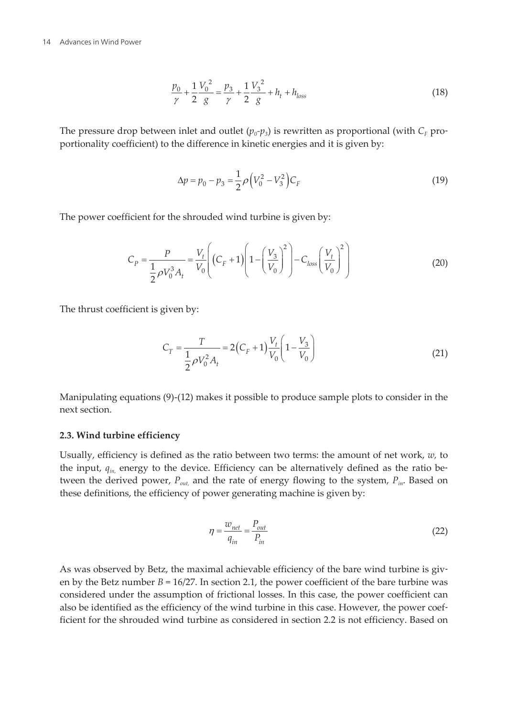$$
\frac{p_0}{\gamma} + \frac{1}{2} \frac{V_0^2}{g} = \frac{p_3}{\gamma} + \frac{1}{2} \frac{V_3^2}{g} + h_t + h_{loss}
$$
(18)

The pressure drop between inlet and outlet  $(p_o \neg p_3)$  is rewritten as proportional (with  $C_F$  proportionality coefficient) to the difference in kinetic energies and it is given by:

$$
\Delta p = p_0 - p_3 = \frac{1}{2} \rho \left( V_0^2 - V_3^2 \right) C_F \tag{19}
$$

The power coefficient for the shrouded wind turbine is given by:

$$
C_P = \frac{P}{\frac{1}{2}\rho V_0^3 A_t} = \frac{V_t}{V_0} \left( (C_F + 1) \left( 1 - \left( \frac{V_3}{V_0} \right)^2 \right) - C_{loss} \left( \frac{V_t}{V_0} \right)^2 \right)
$$
(20)

The thrust coefficient is given by:

$$
C_T = \frac{T}{\frac{1}{2}\rho V_0^2 A_t} = 2(C_F + 1)\frac{V_t}{V_0} \left(1 - \frac{V_3}{V_0}\right)
$$
(21)

Manipulating equations (9)-(12) makes it possible to produce sample plots to consider in the next section.

#### **2.3. Wind turbine efficiency**

Usually, efficiency is defined as the ratio between two terms: the amount of net work, *w,* to the input,  $q_{in}$  energy to the device. Efficiency can be alternatively defined as the ratio between the derived power, *Pout,* and the rate of energy flowing to the system, *Pin*. Based on these definitions, the efficiency of power generating machine is given by:

$$
\eta = \frac{w_{net}}{q_{in}} = \frac{P_{out}}{P_{in}}
$$
\n(22)

As was observed by Betz, the maximal achievable efficiency of the bare wind turbine is given by the Betz number *B* = 16/27. In section 2.1, the power coefficient of the bare turbine was considered under the assumption of frictional losses. In this case, the power coefficient can also be identified as the efficiency of the wind turbine in this case. However, the power coefficient for the shrouded wind turbine as considered in section 2.2 is not efficiency. Based on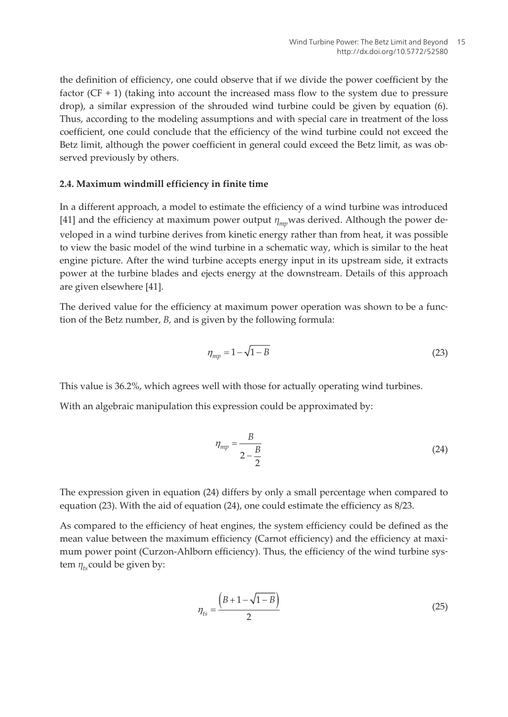the definition of efficiency, one could observe that if we divide the power coefficient by the factor (CF + 1) (taking into account the increased mass flow to the system due to pressure drop), a similar expression of the shrouded wind turbine could be given by equation (6). Thus, according to the modeling assumptions and with special care in treatment of the loss coefficient, one could conclude that the efficiency of the wind turbine could not exceed the Betz limit, although the power coefficient in general could exceed the Betz limit, as was observed previously by others.

#### **2.4. Maximum windmill efficiency in finite time**

In a different approach, a model to estimate the efficiency of a wind turbine was introduced [[41\]](#page-25-0) and the efficiency at maximum power output *ηmp* was derived. Although the power de‐ veloped in a wind turbine derives from kinetic energy rather than from heat, it was possible to view the basic model of the wind turbine in a schematic way, which is similar to the heat engine picture. After the wind turbine accepts energy input in its upstream side, it extracts power at the turbine blades and ejects energy at the downstream. Details of this approach are given elsewhere [\[41](#page-25-0)].

The derived value for the efficiency at maximum power operation was shown to be a function of the Betz number, *B,* and is given by the following formula:

$$
\eta_{mp} = 1 - \sqrt{1 - B} \tag{23}
$$

This value is 36.2%, which agrees well with those for actually operating wind turbines.

With an algebraic manipulation this expression could be approximated by:

$$
\eta_{mp} = \frac{B}{2 - \frac{B}{2}} \tag{24}
$$

The expression given in equation (24) differs by only a small percentage when compared to equation (23). With the aid of equation (24), one could estimate the efficiency as 8/23.

As compared to the efficiency of heat engines, the system efficiency could be defined as the mean value between the maximum efficiency (Carnot efficiency) and the efficiency at maximum power point (Curzon-Ahlborn efficiency). Thus, the efficiency of the wind turbine system  $\eta_{ts}$ could be given by: tem  $\eta_{ts}$ could be given by:

$$
\eta_{ts} = \frac{\left(B + 1 - \sqrt{1 - B}\right)}{2} \tag{25}
$$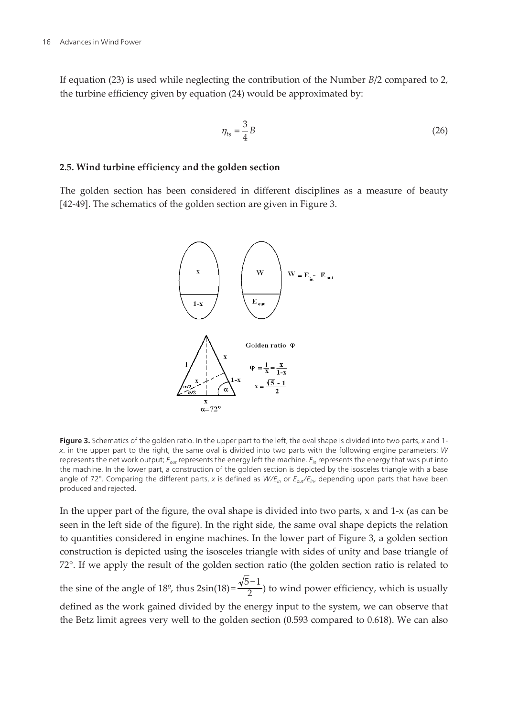If equation (23) is used while neglecting the contribution of the Number *B*/2 compared to 2, the turbine efficiency given by equation (24) would be approximated by:

$$
\eta_{ts} = \frac{3}{4}B\tag{26}
$$

#### **2.5. Wind turbine efficiency and the golden section**

The golden section has been considered in different disciplines as a measure of beauty [[42-](#page-25-0)[49\]](#page-26-0). The schematics of the golden section are given in Figure 3.



Figure 3. Schematics of the golden ratio. In the upper part to the left, the oval shape is divided into two parts, x and 1x. in the upper part to the right, the same oval is divided into two parts with the following engine parameters: W represents the net work output;  $E_{out}$  represents the energy left the machine.  $E_{in}$  represents the energy that was put into the machine. In the lower part, a construction of the golden section is depicted by the isosceles triangle with a base angle of 72°. Comparing the different parts, x is defined as  $W/E_{in}$  or  $E_{out}/E_{in}$ , depending upon parts that have been produced and rejected.

In the upper part of the figure, the oval shape is divided into two parts, x and 1-x (as can be seen in the left side of the figure). In the right side, the same oval shape depicts the relation to quantities considered in engine machines. In the lower part of Figure 3, a golden section construction is depicted using the isosceles triangle with sides of unity and base triangle of 72°. If we apply the result of the golden section ratio (the golden section ratio is related to

the sine of the angle of 18<sup>o</sup>, thus  $2\sin(18) = \frac{\sqrt{5}-1}{2}$  $\left(\frac{1}{2}\right)$  to wind power efficiency, which is usually defined as the work gained divided by the energy input to the system, we can observe that the Betz limit agrees very well to the golden section (0.593 compared to 0.618). We can also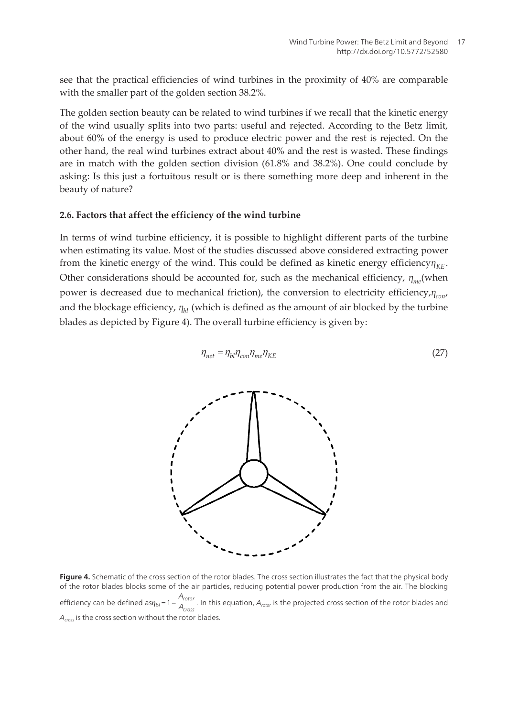see that the practical efficiencies of wind turbines in the proximity of 40% are comparable with the smaller part of the golden section 38.2%.

The golden section beauty can be related to wind turbines if we recall that the kinetic energy of the wind usually splits into two parts: useful and rejected. According to the Betz limit, about 60% of the energy is used to produce electric power and the rest is rejected. On the other hand, the real wind turbines extract about 40% and the rest is wasted. These findings are in match with the golden section division (61.8% and 38.2%). One could conclude by asking: Is this just a fortuitous result or is there something more deep and inherent in the beauty of nature?

#### **2.6. Factors that affect the efficiency of the wind turbine**

In terms of wind turbine efficiency, it is possible to highlight different parts of the turbine when estimating its value. Most of the studies discussed above considered extracting power from the kinetic energy of the wind. This could be defined as kinetic energy efficiency $\eta_{\textit{KE}}$ . Other considerations should be accounted for, such as the mechanical efficiency, *ηme* (when power is decreased due to mechanical friction), the conversion to electricity efficiency,*ηcon* , and the blockage efficiency, *ηbl* (which is defined as the amount of air blocked by the turbine blades as depicted by Figure 4). The overall turbine efficiency is given by:

$$
\eta_{net} = \eta_{bl} \eta_{con} \eta_{me} \eta_{KE} \tag{27}
$$



 $\frac{1}{\sqrt{2}}$  and the cross section of the cross section of the rotor body of the rotor blades blocks section in the fact that the physical body of the rotor blocks blocks blocks blocks blocks blocks blocks blocks blocks b efficiency can be defined as $n_{bi} = 1 - \frac{A_{rotor}}{A_{cross}}$ . In this equation,  $A_{rotor}$  is the projected cross section of the rotor blades and **Figure 4.** Schematic of the cross section of the rotor blades. The cross section illustrates the fact that the physical body of the rotor blades blocks some of the air particles, reducing potential power production from the air. The blocking  $\frac{1000I}{A_{cross}}$ . In this equation,  $A_{rotor}$  is the projected cross section of the rotor blades and  $A<sub>cross</sub>$  is the cross section without the rotor blades.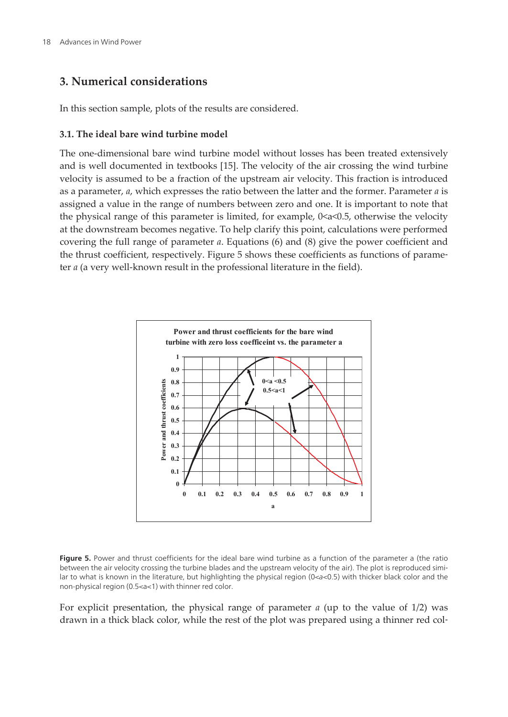## <span id="page-15-0"></span>**3. Numerical considerations**

In this section sample, plots of the results are considered.

#### **3.1. The ideal bare wind turbine model**

The one-dimensional bare wind turbine model without losses has been treated extensively and is well documented in textbooks [\[15](#page-23-0)]. The velocity of the air crossing the wind turbine velocity is assumed to be a fraction of the upstream air velocity. This fraction is introduced as a parameter, *a*, which expresses the ratio between the latter and the former. Parameter *a* is assigned a value in the range of numbers between zero and one. It is important to note that the physical range of this parameter is limited, for example,  $0 \le a \le 0.5$ , otherwise the velocity at the downstream becomes negative. To help clarify this point, calculations were performed covering the full range of parameter *a*. Equations (6) and (8) give the power coefficient and the thrust coefficient, respectively. Figure 5 shows these coefficients as functions of parame‐ ter *a* (a very well-known result in the professional literature in the field).



Figure 5. Power and thrust coefficients for the ideal bare wind turbine as a function of the parameter a (the ratio between the air velocity crossing the turbine blades and the upstream velocity of the air). The plot is reproduced similar to what is known in the literature, but highlighting the physical region (0<a<0.5) with thicker black color and the non-physical region (0.5<a<1) with thinner red color.

For explicit presentation, the physical range of parameter *a* (up to the value of 1/2) was drawn in a thick black color, while the rest of the plot was prepared using a thinner red col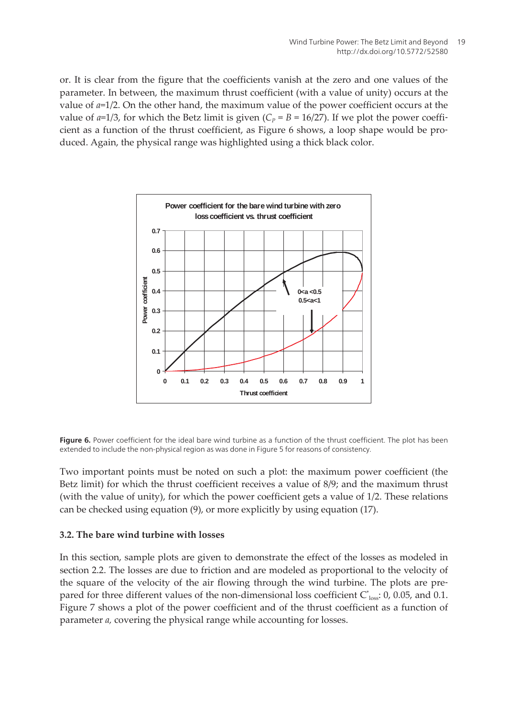or. It is clear from the figure that the coefficients vanish at the zero and one values of the parameter. In between, the maximum thrust coefficient (with a value of unity) occurs at the value of *a*=1/2. On the other hand, the maximum value of the power coefficient occurs at the value of  $a=1/3$ , for which the Betz limit is given  $(C_P = B = 16/27)$ . If we plot the power coefficient as a function of the thrust coefficient, as Figure 6 shows, a loop shape would be pro‐ duced. Again, the physical range was highlighted using a thick black color.



Figure 6. Power coefficient for the ideal bare wind turbine as a function of the thrust coefficient. The plot has been extended to include the non-physical region as was done in [Figure 5](#page-15-0) for reasons of consistency.

Two important points must be noted on such a plot: the maximum power coefficient (the Betz limit) for which the thrust coefficient receives a value of 8/9; and the maximum thrust (with the value of unity), for which the power coefficient gets a value of 1/2. These relations can be checked using equation (9), or more explicitly by using equation (17).

#### **3.2. The bare wind turbine with losses**

In this section, sample plots are given to demonstrate the effect of the losses as modeled in section 2.2. The losses are due to friction and are modeled as proportional to the velocity of the square of the velocity of the air flowing through the wind turbine. The plots are pre‐ pared for three different values of the non-dimensional loss coefficient  $C^*_{loss}$ : 0, 0.05, and 0.1. [Figure 7](#page-17-0) shows a plot of the power coefficient and of the thrust coefficient as a function of parameter *a,* covering the physical range while accounting for losses.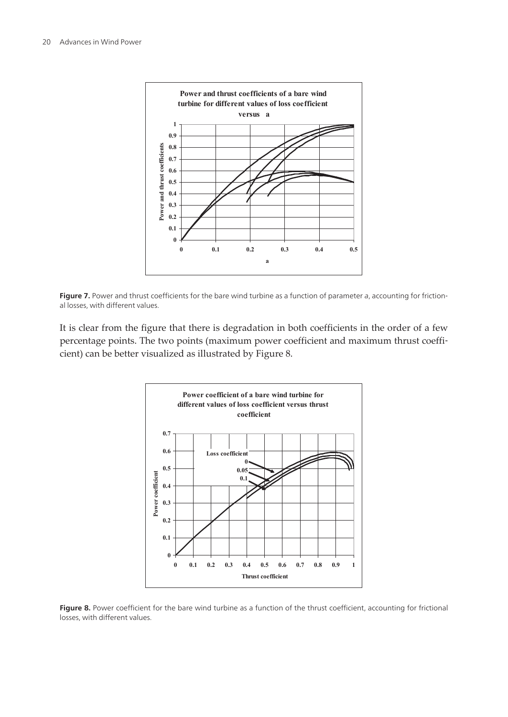<span id="page-17-0"></span>



It is clear from the figure that there is degradation in both coefficients in the order of a few percentage points. The two points (maximum power coefficient and maximum thrust coefficient) can be better visualized as illustrated by Figure 8.



Figure 8. Power coefficient for the bare wind turbine as a function of the thrust coefficient, accounting for frictional losses, with different values.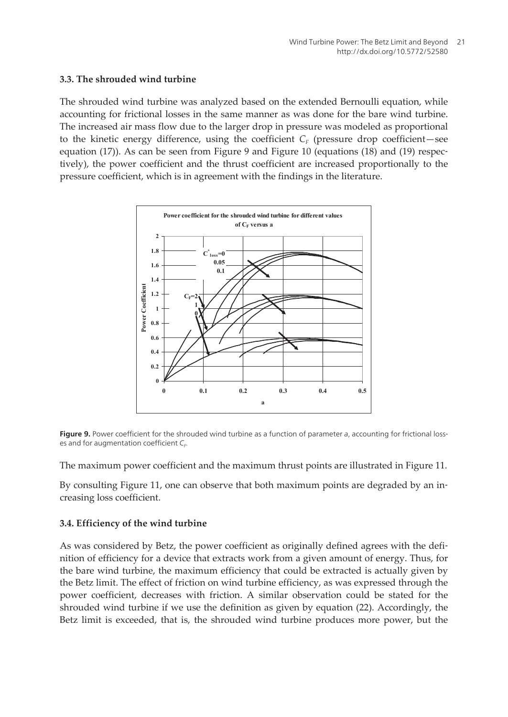#### **3.3. The shrouded wind turbine**

The shrouded wind turbine was analyzed based on the extended Bernoulli equation, while accounting for frictional losses in the same manner as was done for the bare wind turbine. The increased air mass flow due to the larger drop in pressure was modeled as proportional to the kinetic energy difference, using the coefficient  $C_F$  (pressure drop coefficient—see equation (17)). As can be seen from Figure 9 and [Figure 10](#page-19-0) (equations (18) and (19) respec‐ tively), the power coefficient and the thrust coefficient are increased proportionally to the pressure coefficient, which is in agreement with the findings in the literature.



**Figure 9.** Power coefficient for the shrouded wind turbine as a function of parameter a, accounting for frictional losses and for augmentation coefficient  $\mathsf{C}_{\mathsf{F}}$ .

The maximum power coefficient and the maximum thrust points are illustrated in [Figure 11](#page-20-0).

By consulting [Figure 11,](#page-20-0) one can observe that both maximum points are degraded by an in‐ creasing loss coefficient.

#### **3.4. Efficiency of the wind turbine**

As was considered by Betz, the power coefficient as originally defined agrees with the definition of efficiency for a device that extracts work from a given amount of energy. Thus, for the bare wind turbine, the maximum efficiency that could be extracted is actually given by the Betz limit. The effect of friction on wind turbine efficiency, as was expressed through the power coefficient, decreases with friction. A similar observation could be stated for the shrouded wind turbine if we use the definition as given by equation (22). Accordingly, the Betz limit is exceeded, that is, the shrouded wind turbine produces more power, but the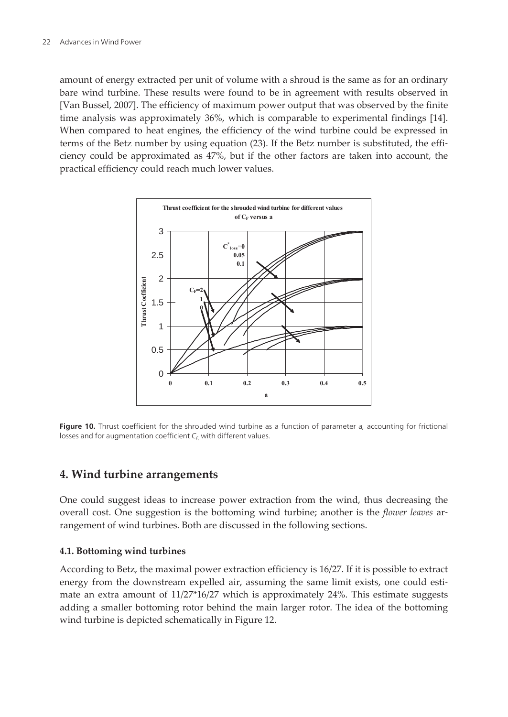<span id="page-19-0"></span>amount of energy extracted per unit of volume with a shroud is the same as for an ordinary bare wind turbine. These results were found to be in agreement with results observed in [Van Bussel, 2007]. The efficiency of maximum power output that was observed by the finite time analysis was approximately 36%, which is comparable to experimental findings [[14\]](#page-23-0). When compared to heat engines, the efficiency of the wind turbine could be expressed in terms of the Betz number by using equation (23). If the Betz number is substituted, the efficiency could be approximated as 47%, but if the other factors are taken into account, the practical efficiency could reach much lower values.



**Figure 10.** Thrust coefficient for the shrouded wind turbine as a function of parameter a, accounting for frictional losses and for augmentation coefficient  $C_F$ , with different values.

## **4. Wind turbine arrangements**

One could suggest ideas to increase power extraction from the wind, thus decreasing the overall cost. One suggestion is the bottoming wind turbine; another is the *flower leaves* ar‐ rangement of wind turbines. Both are discussed in the following sections.

## **4.1. Bottoming wind turbines**

According to Betz, the maximal power extraction efficiency is 16/27. If it is possible to extract energy from the downstream expelled air, assuming the same limit exists, one could estimate an extra amount of 11/27\*16/27 which is approximately 24%. This estimate suggests adding a smaller bottoming rotor behind the main larger rotor. The idea of the bottoming wind turbine is depicted schematically in [Figure 12](#page-20-0).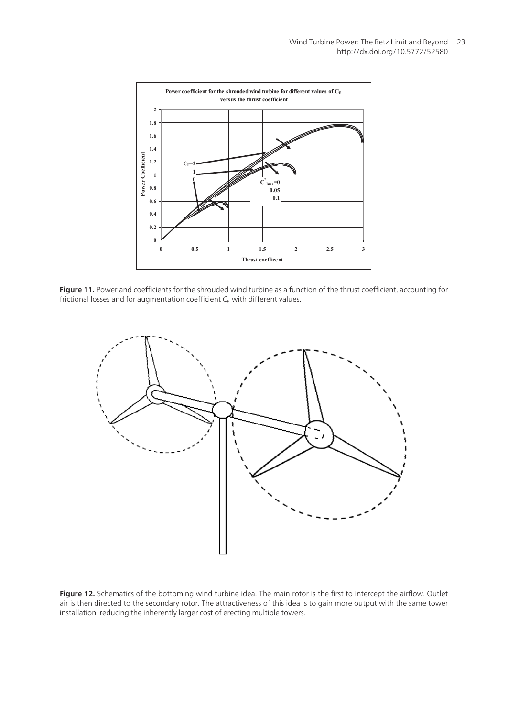<span id="page-20-0"></span>

**Figure 11.** Power and coefficients for the shrouded wind turbine as a function of the thrust coefficient, accounting for frictional losses and for augmentation coefficient  $C_{\epsilon}$ , with different values.



**Figure 12.** Schematics of the bottoming wind turbine idea. The main rotor is the first to intercept the airflow. Outlet air is then directed to the secondary rotor. The attractiveness of this idea is to gain more output with the same tower installation, reducing the inherently larger cost of erecting multiple towers.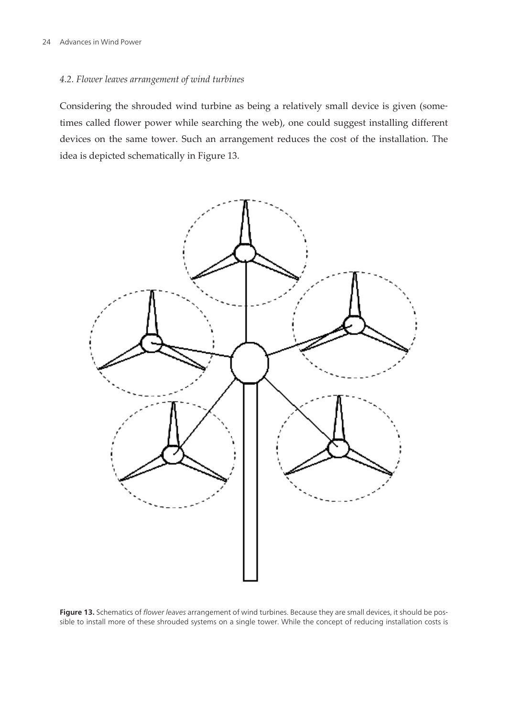#### *4.2. Flower leaves arrangement of wind turbines*

Considering the shrouded wind turbine as being a relatively small device is given (some‐ times called flower power while searching the web), one could suggest installing different devices on the same tower. Such an arrangement reduces the cost of the installation. The idea is depicted schematically in Figure 13.



Figure 13. Schematics of flower leaves arrangement of wind turbines. Because they are small devices, it should be possible to install more of these shrouded systems on a single tower. While the concept of reducing installation costs is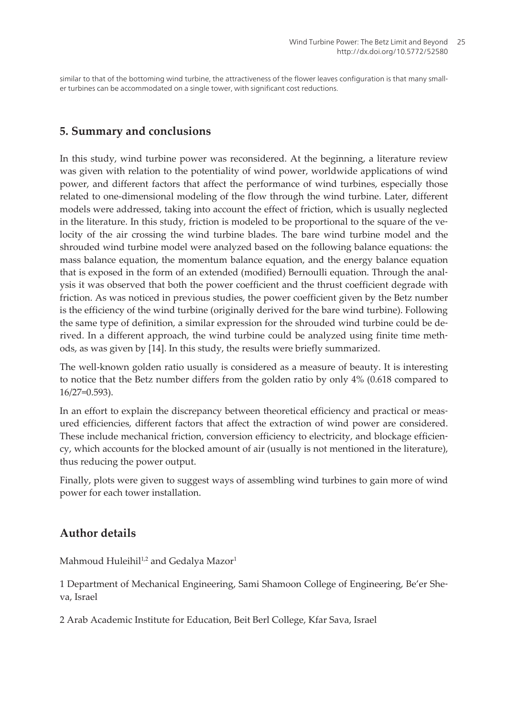similar to that of the bottoming wind turbine, the attractiveness of the flower leaves configuration is that many smaller turbines can be accommodated on a single tower, with significant cost reductions.

## **5. Summary and conclusions**

In this study, wind turbine power was reconsidered. At the beginning, a literature review was given with relation to the potentiality of wind power, worldwide applications of wind power, and different factors that affect the performance of wind turbines, especially those related to one-dimensional modeling of the flow through the wind turbine. Later, different models were addressed, taking into account the effect of friction, which is usually neglected in the literature. In this study, friction is modeled to be proportional to the square of the velocity of the air crossing the wind turbine blades. The bare wind turbine model and the shrouded wind turbine model were analyzed based on the following balance equations: the mass balance equation, the momentum balance equation, and the energy balance equation that is exposed in the form of an extended (modified) Bernoulli equation. Through the anal‐ ysis it was observed that both the power coefficient and the thrust coefficient degrade with friction. As was noticed in previous studies, the power coefficient given by the Betz number is the efficiency of the wind turbine (originally derived for the bare wind turbine). Following the same type of definition, a similar expression for the shrouded wind turbine could be de‐ rived. In a different approach, the wind turbine could be analyzed using finite time meth‐ ods, as was given by [[14\]](#page-23-0). In this study, the results were briefly summarized.

The well-known golden ratio usually is considered as a measure of beauty. It is interesting to notice that the Betz number differs from the golden ratio by only 4% (0.618 compared to 16/27=0.593).

In an effort to explain the discrepancy between theoretical efficiency and practical or measured efficiencies, different factors that affect the extraction of wind power are considered. These include mechanical friction, conversion efficiency to electricity, and blockage efficiency, which accounts for the blocked amount of air (usually is not mentioned in the literature), thus reducing the power output.

Finally, plots were given to suggest ways of assembling wind turbines to gain more of wind power for each tower installation.

## **Author details**

Mahmoud Huleihil<sup>1,2</sup> and Gedalya Mazor<sup>1</sup>

1 Department of Mechanical Engineering, Sami Shamoon College of Engineering, Be'er She‐ va, Israel

2 Arab Academic Institute for Education, Beit Berl College, Kfar Sava, Israel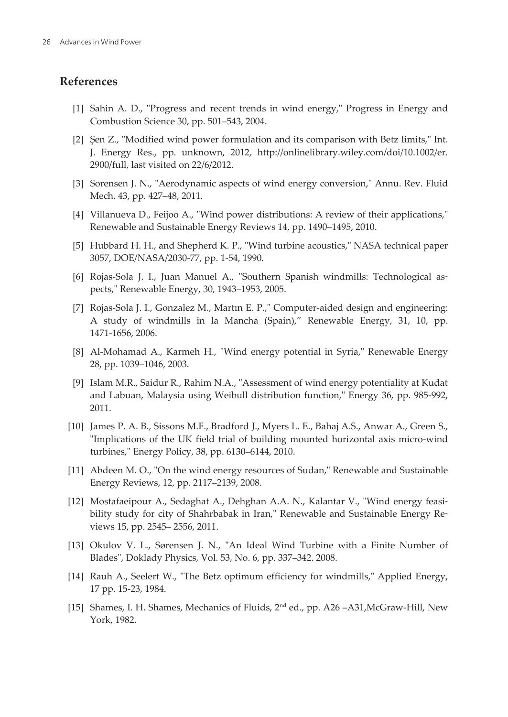## <span id="page-23-0"></span>**References**

- [1] Sahin A. D., "Progress and recent trends in wind energy," Progress in Energy and Combustion Science 30, pp. 501–543, 2004.
- [2] Şen Z., "Modified wind power formulation and its comparison with Betz limits," Int. J. Energy Res., pp. unknown, 2012, http://onlinelibrary.wiley.com/doi/10.1002/er. 2900/full, last visited on 22/6/2012.
- [3] Sorensen J. N., "Aerodynamic aspects of wind energy conversion," Annu. Rev. Fluid Mech. 43, pp. 427–48, 2011.
- [4] Villanueva D., Feijoo A., "Wind power distributions: A review of their applications," Renewable and Sustainable Energy Reviews 14, pp. 1490–1495, 2010.
- [5] Hubbard H. H., and Shepherd K. P., "Wind turbine acoustics," NASA technical paper 3057, DOE/NASA/2030-77, pp. 1-54, 1990.
- [6] Rojas-Sola J. I., Juan Manuel A., "Southern Spanish windmills: Technological as‐ pects," Renewable Energy, 30, 1943–1953, 2005.
- [7] Rojas-Sola J. I., Gonzalez M., Martın E. P.," Computer-aided design and engineering: A study of windmills in la Mancha (Spain)," Renewable Energy, 31, 10, pp. 1471-1656, 2006.
- [8] Al-Mohamad A., Karmeh H., "Wind energy potential in Syria," Renewable Energy 28, pp. 1039–1046, 2003.
- [9] Islam M.R., Saidur R., Rahim N.A., "Assessment of wind energy potentiality at Kudat and Labuan, Malaysia using Weibull distribution function," Energy 36, pp. 985-992, 2011.
- [10] James P. A. B., Sissons M.F., Bradford J., Myers L. E., Bahaj A.S., Anwar A., Green S., "Implications of the UK field trial of building mounted horizontal axis micro-wind turbines," Energy Policy, 38, pp. 6130–6144, 2010.
- [11] Abdeen M. O., "On the wind energy resources of Sudan," Renewable and Sustainable Energy Reviews, 12, pp. 2117–2139, 2008.
- [12] Mostafaeipour A., Sedaghat A., Dehghan A.A. N., Kalantar V., "Wind energy feasi‐ bility study for city of Shahrbabak in Iran," Renewable and Sustainable Energy Re‐ views 15, pp. 2545– 2556, 2011.
- [13] Okulov V. L., Sørensen J. N., "An Ideal Wind Turbine with a Finite Number of Blades", Doklady Physics, Vol. 53, No. 6, pp. 337–342. 2008.
- [14] Rauh A., Seelert W., "The Betz optimum efficiency for windmills," Applied Energy, 17 pp. 15-23, 1984.
- [15] Shames, I. H. Shames, Mechanics of Fluids, 2nd ed., pp. A26 –A31,McGraw-Hill, New York, 1982.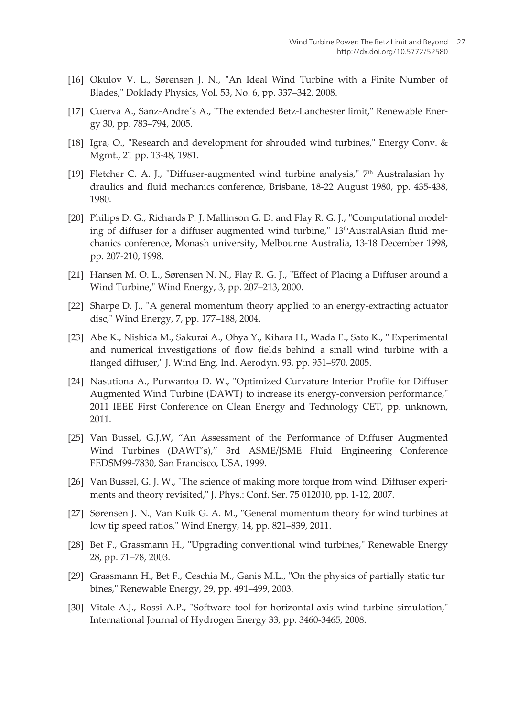- <span id="page-24-0"></span>[16] Okulov V. L., Sørensen J. N., "An Ideal Wind Turbine with a Finite Number of Blades," Doklady Physics, Vol. 53, No. 6, pp. 337–342. 2008.
- [17] Cuerva A., Sanz-Andre's A., "The extended Betz-Lanchester limit," Renewable Energy 30, pp. 783–794, 2005.
- [18] Igra, O., "Research and development for shrouded wind turbines," Energy Conv. & Mgmt., 21 pp. 13-48, 1981.
- [19] Fletcher C. A. J., "Diffuser-augmented wind turbine analysis,"  $7<sup>th</sup>$  Australasian hydraulics and fluid mechanics conference, Brisbane, 18-22 August 1980, pp. 435-438, 1980.
- [20] Philips D. G., Richards P. J. Mallinson G. D. and Flay R. G. J., "Computational model‐ ing of diffuser for a diffuser augmented wind turbine,"  $13<sup>th</sup>$ AustralAsian fluid mechanics conference, Monash university, Melbourne Australia, 13-18 December 1998, pp. 207-210, 1998.
- [21] Hansen M. O. L., Sørensen N. N., Flay R. G. J., "Effect of Placing a Diffuser around a Wind Turbine," Wind Energy, 3, pp. 207–213, 2000.
- [22] Sharpe D. J., "A general momentum theory applied to an energy-extracting actuator disc," Wind Energy, 7, pp. 177–188, 2004.
- [23] Abe K., Nishida M., Sakurai A., Ohya Y., Kihara H., Wada E., Sato K., " Experimental and numerical investigations of flow fields behind a small wind turbine with a flanged diffuser," J. Wind Eng. Ind. Aerodyn. 93, pp. 951–970, 2005.
- [24] Nasutiona A., Purwantoa D. W., "Optimized Curvature Interior Profile for Diffuser Augmented Wind Turbine (DAWT) to increase its energy-conversion performance," 2011 IEEE First Conference on Clean Energy and Technology CET, pp. unknown, 2011.
- [25] Van Bussel, G.J.W, "An Assessment of the Performance of Diffuser Augmented Wind Turbines (DAWT's)," 3rd ASME/JSME Fluid Engineering Conference FEDSM99-7830, San Francisco, USA, 1999.
- [26] Van Bussel, G. J. W., "The science of making more torque from wind: Diffuser experiments and theory revisited," J. Phys.: Conf. Ser. 75 012010, pp. 1-12, 2007.
- [27] Sørensen J. N., Van Kuik G. A. M., "General momentum theory for wind turbines at low tip speed ratios," Wind Energy, 14, pp. 821–839, 2011.
- [28] Bet F., Grassmann H., "Upgrading conventional wind turbines," Renewable Energy 28, pp. 71–78, 2003.
- [29] Grassmann H., Bet F., Ceschia M., Ganis M.L., "On the physics of partially static turbines," Renewable Energy, 29, pp. 491–499, 2003.
- [30] Vitale A.J., Rossi A.P., "Software tool for horizontal-axis wind turbine simulation," International Journal of Hydrogen Energy 33, pp. 3460-3465, 2008.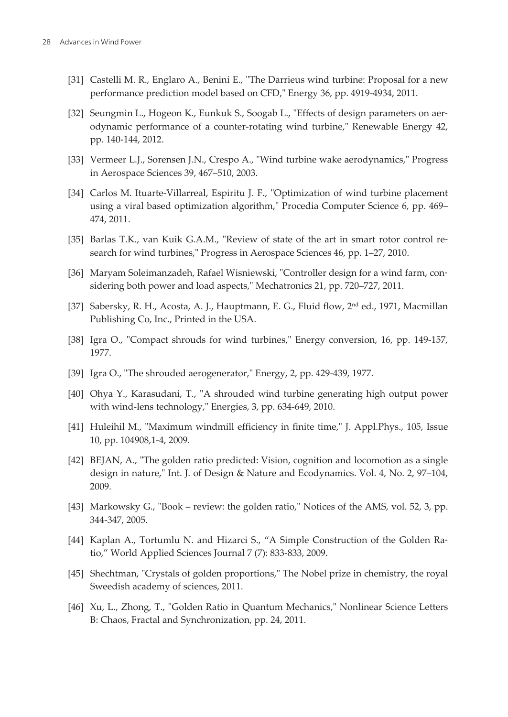- <span id="page-25-0"></span>[31] Castelli M. R., Englaro A., Benini E., "The Darrieus wind turbine: Proposal for a new performance prediction model based on CFD," Energy 36, pp. 4919-4934, 2011.
- [32] Seungmin L., Hogeon K., Eunkuk S., Soogab L., "Effects of design parameters on aerodynamic performance of a counter-rotating wind turbine," Renewable Energy 42, pp. 140-144, 2012.
- [33] Vermeer L.J., Sorensen J.N., Crespo A., "Wind turbine wake aerodynamics," Progress in Aerospace Sciences 39, 467–510, 2003.
- [34] Carlos M. Ituarte-Villarreal, Espiritu J. F., "Optimization of wind turbine placement using a viral based optimization algorithm," Procedia Computer Science 6, pp. 469– 474, 2011.
- [35] Barlas T.K., van Kuik G.A.M., "Review of state of the art in smart rotor control research for wind turbines," Progress in Aerospace Sciences 46, pp. 1–27, 2010.
- [36] Maryam Soleimanzadeh, Rafael Wisniewski, "Controller design for a wind farm, considering both power and load aspects," Mechatronics 21, pp. 720–727, 2011.
- [37] Sabersky, R. H., Acosta, A. J., Hauptmann, E. G., Fluid flow, 2<sup>nd</sup> ed., 1971, Macmillan Publishing Co, Inc., Printed in the USA.
- [38] Igra O., "Compact shrouds for wind turbines," Energy conversion, 16, pp. 149-157, 1977.
- [39] Igra O., "The shrouded aerogenerator," Energy, 2, pp. 429-439, 1977.
- [40] Ohya Y., Karasudani, T., "A shrouded wind turbine generating high output power with wind-lens technology," Energies, 3, pp. 634-649, 2010.
- [41] Huleihil M., "Maximum windmill efficiency in finite time," J. Appl.Phys., 105, Issue 10, pp. 104908,1-4, 2009.
- [42] BEJAN, A., "The golden ratio predicted: Vision, cognition and locomotion as a single design in nature," Int. J. of Design & Nature and Ecodynamics. Vol. 4, No. 2, 97–104, 2009.
- [43] Markowsky G., "Book review: the golden ratio," Notices of the AMS, vol. 52, 3, pp. 344-347, 2005.
- [44] Kaplan A., Tortumlu N. and Hizarci S., "A Simple Construction of the Golden Ra‐ tio," World Applied Sciences Journal 7 (7): 833-833, 2009.
- [45] Shechtman, "Crystals of golden proportions," The Nobel prize in chemistry, the royal Sweedish academy of sciences, 2011.
- [46] Xu, L., Zhong, T., "Golden Ratio in Quantum Mechanics," Nonlinear Science Letters B: Chaos, Fractal and Synchronization, pp. 24, 2011.